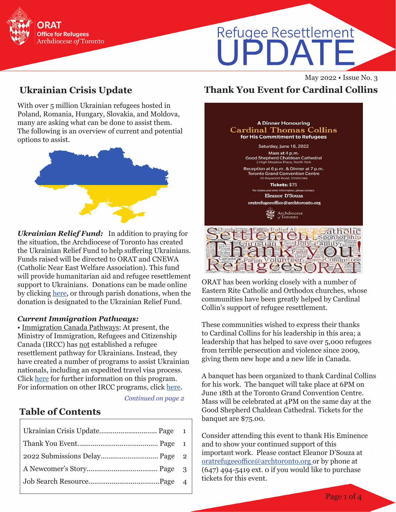

# Refugee Resettlement PDA

May 2022 • Issue No. 3

# **Ukrainian Crisis Update**

With over 5 million Ukrainian refugees hosted in Poland, Romania, Hungary, Slovakia, and Moldova, many are asking what can be done to assist them. The following is an overview of current and potential options to assist.



*Ukrainian Relief Fund:* In addition to praying for the situation, the Archdiocese of Toronto has created the Ukrainian Relief Fund to help suffering Ukrainians. Funds raised will be directed to ORAT and CNEWA (Catholic Near East Welfare Association). This fund will provide humanitarian aid and refugee resettlement support to Ukrainians. Donations can be made online by clicking [here,](https://www.archtoronto.org/fr/contact-us/donations/donate-pages/donate-to-humanitarian-relief/) or through parish donations, when the donation is designated to the Ukrainian Relief Fund.

#### *Current Immigration Pathways:*

• Immigration Canada Pathways: At present, the Ministry of Immigration, Refugees and Citizenship Canada (IRCC) has not established a refugee resettlement pathway for Ukrainians. Instead, they have created a number of programs to assist Ukrainian nationals, including an expedited travel visa process. Click [here](https://www.canada.ca/en/immigration-refugees-citizenship/news/2022/03/canada-to-welcome-those-fleeing-the-war-in-ukraine.html) for further information on this program. For information on other IRCC programs, click [here](https://www.canada.ca/en/immigration-refugees-citizenship/news/2022/02/additional-immigration-support-for-those-affected-by-the-situation-in-ukraine.html).

*Continued on page 2*

# **Table of Contents**

# **Thank You Event for Cardinal Collins**

| <b>A Dinner Honouring</b>                                                                                               |
|-------------------------------------------------------------------------------------------------------------------------|
| Cardinal Thomas Collins<br>for His Commitment to Refugees                                                               |
| Saturday, June 18, 2022                                                                                                 |
| Mass at 4 p.m.<br>Good Shepherd Chaldean Cathedral<br>2 High Meadow Place, North York                                   |
| Reception at 6 p.m. & Dinner at 7 p.m.<br><b>Toronto Grand Convention Centre</b><br>30 Baywood Road, Etobicoke          |
| Tickets: \$75                                                                                                           |
| For tickets and other information, please contact:                                                                      |
| Eleanor D'Souza                                                                                                         |
| oratrefugeeoffice@archtoronto.org                                                                                       |
| Archdiocese<br>of Toronto                                                                                               |
| $amily$ $Pole$ $A$<br>$1$ <sup>t</sup> $\epsilon$<br>11n<br>arist<br>omn<br>$Pr$ Fund $Pr$<br><b>Joseph Spirit Than</b> |

ORAT has been working closely with a number of Eastern Rite Catholic and Orthodox churches, whose communities have been greatly helped by Cardinal Collin's support of refugee resettlement.

These communities wished to express their thanks to Cardinal Collins for his leadership in this area; a leadership that has helped to save over 5,000 refugees from terrible persecution and violence since 2009, giving them new hope and a new life in Canada.

A banquet has been organized to thank Cardinal Collins for his work. The banquet will take place at 6PM on June 18th at the Toronto Grand Convention Centre. Mass will be celebrated at 4PM on the same day at the Good Shepherd Chaldean Cathedral. Tickets for the banquet are \$75.00.

Consider attending this event to thank His Eminence and to show your continued support of this important work. [Please contact Ele](mailto:edsouza%40archtoronto.org%20?subject=)anor D'Souza at oratrefugeeoffice@archtoronto.org or by phone at (647) 494-5419 ext. 0 if you would like to purchase tickets for this event.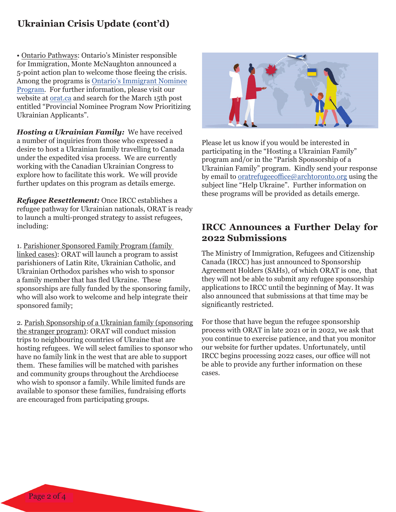### **Ukrainian Crisis Update (cont'd)**

•.Ontario Pathways: Ontario's Minister responsible for Immigration, Monte McNaughton announced a 5-point action plan to welcome those fleeing the crisis. Among the programs is [Ontario's Immigrant Nominee](https://www.ontario.ca/page/ontario-immigrant-nominee-program-oinp) [Program](https://www.ontario.ca/page/ontario-immigrant-nominee-program-oinp). For further information, please visit our website at [orat.ca](http://www.orat.ca) and search for the March 15th post entitled "Provincial Nominee Program Now Prioritizing Ukrainian Applicants".

*Hosting a Ukrainian Family:* We have received a number of inquiries from those who expressed a desire to host a Ukrainian family travelling to Canada under the expedited visa process. We are currently working with the Canadian Ukrainian Congress to explore how to facilitate this work. We will provide further updates on this program as details emerge.

*Refugee Resettlement:* Once IRCC establishes a refugee pathway for Ukrainian nationals, ORAT is ready to launch a multi-pronged strategy to assist refugees, including:

1. Parishioner Sponsored Family Program (family linked cases): ORAT will launch a program to assist parishioners of Latin Rite, Ukrainian Catholic, and Ukrainian Orthodox parishes who wish to sponsor a family member that has fled Ukraine. These sponsorships are fully funded by the sponsoring family, who will also work to welcome and help integrate their sponsored family;

2. Parish Sponsorship of a Ukrainian family (sponsoring the stranger program): ORAT will conduct mission trips to neighbouring countries of Ukraine that are hosting refugees. We will select families to sponsor who have no family link in the west that are able to support them. These families will be matched with parishes and community groups throughout the Archdiocese who wish to sponsor a family. While limited funds are available to sponsor these families, fundraising efforts are encouraged from participating groups.



Please let us know if you would be interested in participating in the "Hosting a Ukrainian Family" program and/or in the "Parish Sponsorship of a Ukrainian Family" program. Kindly send your response by email to [oratrefugeeoffice@archtoronto.org](mailto:oratrefugeeoffice%40archtoronto.org?subject=Help%20Ukraine) using the subject line "Help Ukraine". Further information on these programs will be provided as details emerge.

#### **IRCC Announces a Further Delay for 2022 Submissions**

The Ministry of Immigration, Refugees and Citizenship Canada (IRCC) has just announced to Sponsorship Agreement Holders (SAHs), of which ORAT is one, that they will not be able to submit any refugee sponsorship applications to IRCC until the beginning of May. It was also announced that submissions at that time may be significantly restricted.

For those that have begun the refugee sponsorship process with ORAT in late 2021 or in 2022, we ask that you continue to exercise patience, and that you monitor our website for further updates. Unfortunately, until IRCC begins processing 2022 cases, our office will not be able to provide any further information on these cases.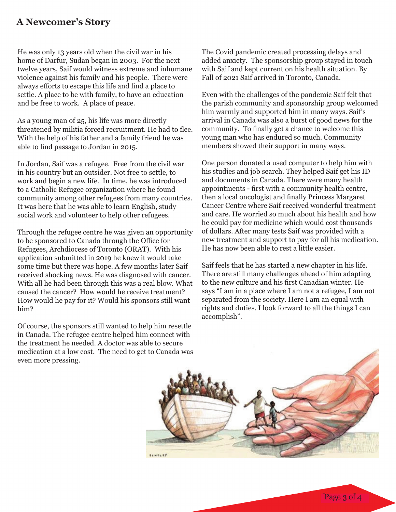#### **A Newcomer's Story**

He was only 13 years old when the civil war in his home of Darfur, Sudan began in 2003. For the next twelve years, Saif would witness extreme and inhumane violence against his family and his people. There were always efforts to escape this life and find a place to settle. A place to be with family, to have an education and be free to work. A place of peace.

As a young man of 25, his life was more directly threatened by militia forced recruitment. He had to flee. With the help of his father and a family friend he was able to find passage to Jordan in 2015.

In Jordan, Saif was a refugee. Free from the civil war in his country but an outsider. Not free to settle, to work and begin a new life. In time, he was introduced to a Catholic Refugee organization where he found community among other refugees from many countries. It was here that he was able to learn English, study social work and volunteer to help other refugees.

Through the refugee centre he was given an opportunity to be sponsored to Canada through the Office for Refugees, Archdiocese of Toronto (ORAT). With his application submitted in 2019 he knew it would take some time but there was hope. A few months later Saif received shocking news. He was diagnosed with cancer. With all he had been through this was a real blow. What caused the cancer? How would he receive treatment? How would he pay for it? Would his sponsors still want him?

Of course, the sponsors still wanted to help him resettle in Canada. The refugee centre helped him connect with the treatment he needed. A doctor was able to secure medication at a low cost. The need to get to Canada was even more pressing.

The Covid pandemic created processing delays and added anxiety. The sponsorship group stayed in touch with Saif and kept current on his health situation. By Fall of 2021 Saif arrived in Toronto, Canada.

Even with the challenges of the pandemic Saif felt that the parish community and sponsorship group welcomed him warmly and supported him in many ways. Saif's arrival in Canada was also a burst of good news for the community. To finally get a chance to welcome this young man who has endured so much. Community members showed their support in many ways.

One person donated a used computer to help him with his studies and job search. They helped Saif get his ID and documents in Canada. There were many health appointments - first with a community health centre, then a local oncologist and finally Princess Margaret Cancer Centre where Saif received wonderful treatment and care. He worried so much about his health and how he could pay for medicine which would cost thousands of dollars. After many tests Saif was provided with a new treatment and support to pay for all his medication. He has now been able to rest a little easier.

Saif feels that he has started a new chapter in his life. There are still many challenges ahead of him adapting to the new culture and his first Canadian winter. He says "I am in a place where I am not a refugee, I am not separated from the society. Here I am an equal with rights and duties. I look forward to all the things I can accomplish".